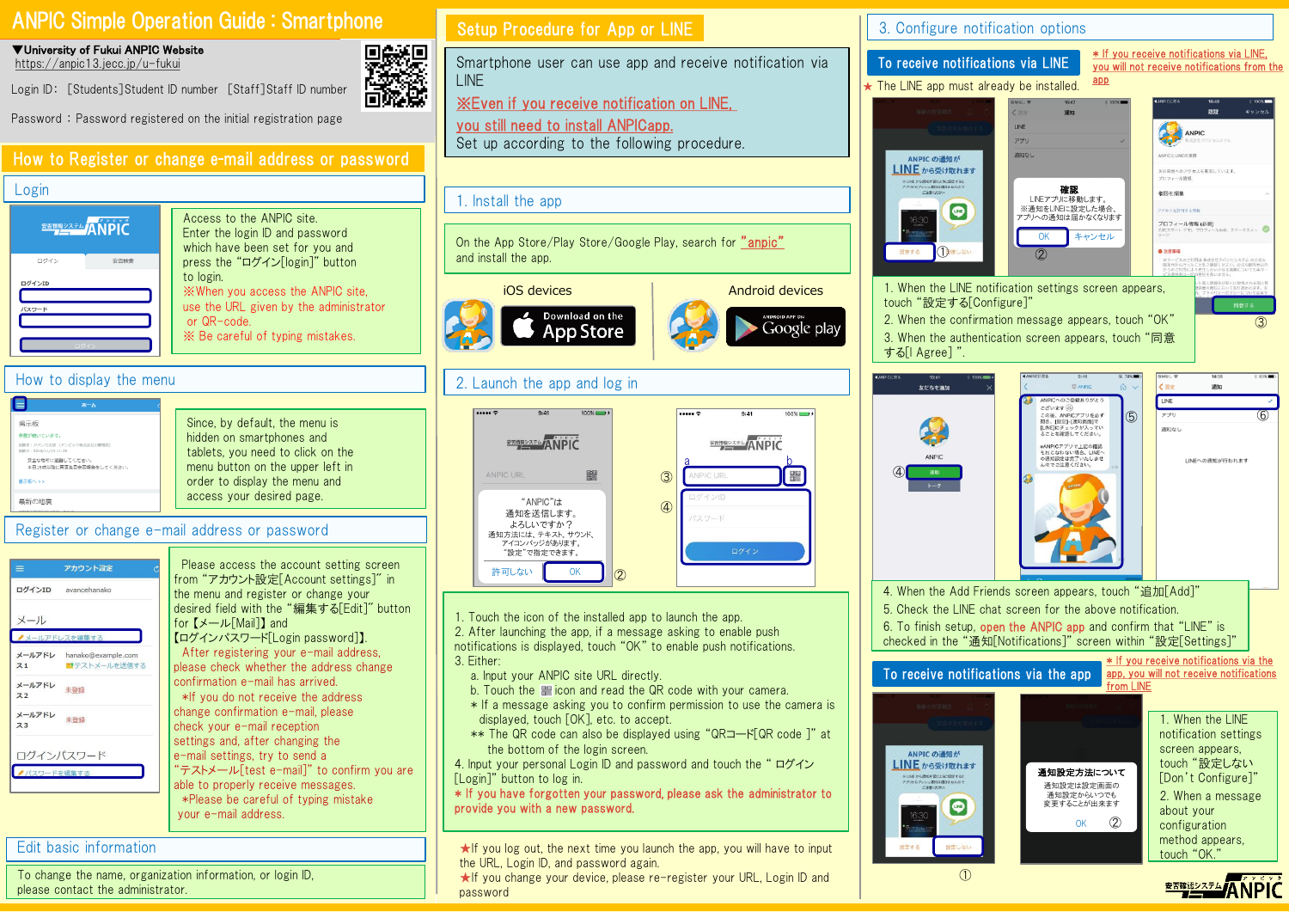# ANPIC Simple Operation Guide : Smartphone

▼University of Fukui ANPIC Website https://anpic13.jecc.jp/u-fukui

Login ID: [Students]Student ID number [Staff]Staff ID number



Password : Password registered on the initial registration page

### How to Register or change e-mail address or password

### Login



Access to the ANPIC site. Enter the login ID and password which have been set for you and press the "ログイン[login]" button to login. ※When you access the ANPIC site, use the URL given by the administrator or QR-code. ※ Be careful of typing mistakes.

Please access the account setting screen from "アカウント設定[Account settings]" in the menu and register or change your desired field with the "編集する[Edit]" button

"テストメール[test e-mail]" to confirm you are

【ログインパスワード[Login password]】. After registering your e-mail address, please check whether the address change

confirmation e-mail has arrived. \*If you do not receive the address change confirmation e-mail, please check your e-mail reception settings and, after changing the e-mail settings, try to send a

able to properly receive messages. \*Please be careful of typing mistake

for 【メール[Mail]】 and

your e-mail address.

### How to display the menu

| 木一人                                                                                                                                |                                                                                                                                                                       |
|------------------------------------------------------------------------------------------------------------------------------------|-----------------------------------------------------------------------------------------------------------------------------------------------------------------------|
| 揭示板<br>余需が続いています。<br>段略者:アパンセ太郎 (アンビック株式会社の管理者)<br>投销日: 2018/11/15 11:25<br>安全な場所に避難してください。<br>本日15時以降に再度各自安否報告をしてください。<br>撮示板へ >> | Since, by default, the menu is<br>hidden on smartphones and<br>tablets, you need to click on the<br>menu button on the upper left in<br>order to display the menu and |
|                                                                                                                                    | access your desired page.                                                                                                                                             |

Register or change e-mail address or password

| $\equiv$                 | アカウント設定                                   |
|--------------------------|-------------------------------------------|
|                          | ログインID avancehanako                       |
| メール                      |                                           |
| ▲メールアドレスを編集する            |                                           |
| 71                       | メールアドレ hanako@example.com<br>コテストメールを送信する |
| メールアドレ<br>Z <sub>2</sub> | 未登録                                       |
| メールアドレ<br>Z <sub>3</sub> | 未登録                                       |
|                          | ログインパスワード                                 |
| ●パスワードを編集する              |                                           |

### Edit basic information

To change the name, organization information, or login ID, please contact the administrator.

### Setup Procedure for App or LINE

Smartphone user can use app and receive notification via LINE

※Even if you receive notification on LINE,

you still need to install ANPICapp. Set up according to the following procedure.

### 1. Install the app

On the App Store/Play Store/Google Play, search for "anpic" and install the app.



# 2. Launch the app and log in



1. Touch the icon of the installed app to launch the app.

2. After launching the app, if a message asking to enable push notifications is displayed, touch "OK" to enable push notifications. 3. Either:

- 
- a. Input your ANPIC site URL directly.
- b. Touch the **u** icon and read the QR code with your camera.
- \* If a message asking you to confirm permission to use the camera is displayed, touch [OK], etc. to accept.
- \*\* The QR code can also be displayed using "QRコード[QR code ]" at the bottom of the login screen.

4. Input your personal Login ID and password and touch the " ログイン [Login]" button to log in.

\* If you have forgotten your password, please ask the administrator to provide you with a new password.

★If you log out, the next time you launch the app, you will have to input the URL, Login ID, and password again.

★If you change your device, please re-register your URL, Login ID and password

3. Configure notification options



from LINE



④

**ANDIC** 

追加

設定する

Google plav

1. When the LINE notification settings screen appears, touch "設定しない [Don't Configure]" 2. When a message about your configuration method appears, touch "OK."